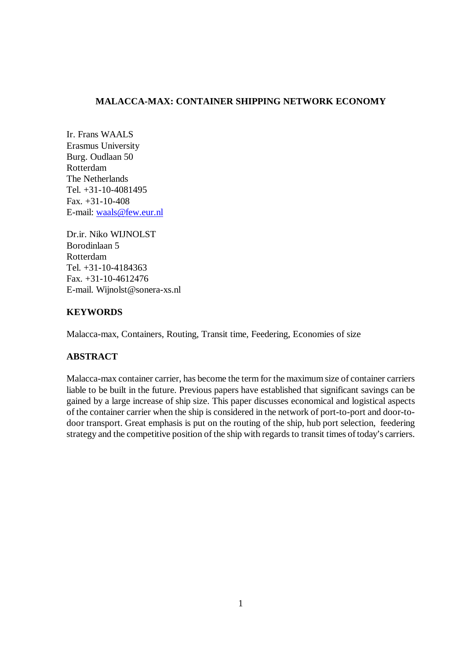# **MALACCA-MAX: CONTAINER SHIPPING NETWORK ECONOMY**

Ir. Frans WAALS Erasmus University Burg. Oudlaan 50 Rotterdam The Netherlands Tel. +31-10-4081495 Fax. +31-10-408 E-mail: waals@few.eur.nl

Dr.ir. Niko WIJNOLST Borodinlaan 5 Rotterdam Tel. +31-10-4184363 Fax. +31-10-4612476 E-mail. Wijnolst@sonera-xs.nl

# **KEYWORDS**

Malacca-max, Containers, Routing, Transit time, Feedering, Economies of size

# **ABSTRACT**

Malacca-max container carrier, has become the term for the maximum size of container carriers liable to be built in the future. Previous papers have established that significant savings can be gained by a large increase of ship size. This paper discusses economical and logistical aspects of the container carrier when the ship is considered in the network of port-to-port and door-todoor transport. Great emphasis is put on the routing of the ship, hub port selection, feedering strategy and the competitive position of the ship with regards to transit times of today's carriers.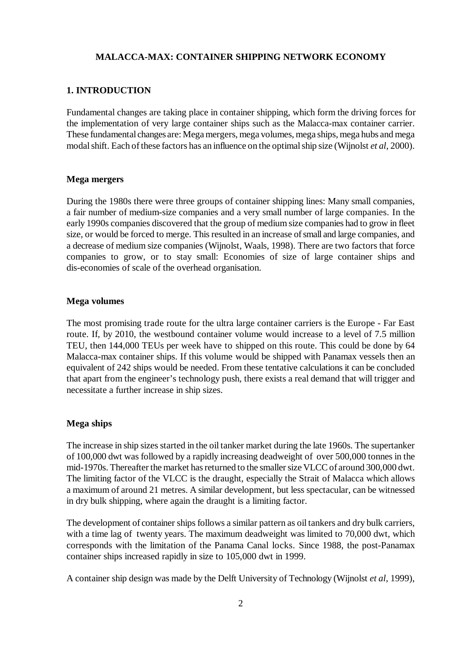# **MALACCA-MAX: CONTAINER SHIPPING NETWORK ECONOMY**

#### **1. INTRODUCTION**

Fundamental changes are taking place in container shipping, which form the driving forces for the implementation of very large container ships such as the Malacca-max container carrier. These fundamental changes are: Mega mergers, mega volumes, mega ships, mega hubs and mega modal shift. Each of these factors has an influence on the optimal ship size (Wijnolst *et al*, 2000).

#### **Mega mergers**

During the 1980s there were three groups of container shipping lines: Many small companies, a fair number of medium-size companies and a very small number of large companies. In the early 1990s companies discovered that the group of medium size companies had to grow in fleet size, or would be forced to merge. This resulted in an increase of small and large companies, and a decrease of medium size companies (Wijnolst, Waals, 1998). There are two factors that force companies to grow, or to stay small: Economies of size of large container ships and dis-economies of scale of the overhead organisation.

#### **Mega volumes**

The most promising trade route for the ultra large container carriers is the Europe - Far East route. If, by 2010, the westbound container volume would increase to a level of 7.5 million TEU, then 144,000 TEUs per week have to shipped on this route. This could be done by 64 Malacca-max container ships. If this volume would be shipped with Panamax vessels then an equivalent of 242 ships would be needed. From these tentative calculations it can be concluded that apart from the engineer's technology push, there exists a real demand that will trigger and necessitate a further increase in ship sizes.

#### **Mega ships**

The increase in ship sizes started in the oil tanker market during the late 1960s. The supertanker of 100,000 dwt was followed by a rapidly increasing deadweight of over 500,000 tonnes in the mid-1970s. Thereafter the market has returned to the smaller size VLCC of around 300,000 dwt. The limiting factor of the VLCC is the draught, especially the Strait of Malacca which allows a maximum of around 21 metres. A similar development, but less spectacular, can be witnessed in dry bulk shipping, where again the draught is a limiting factor.

The development of container ships follows a similar pattern as oil tankers and dry bulk carriers, with a time lag of twenty years. The maximum deadweight was limited to 70,000 dwt, which corresponds with the limitation of the Panama Canal locks. Since 1988, the post-Panamax container ships increased rapidly in size to 105,000 dwt in 1999.

A container ship design was made by the Delft University of Technology (Wijnolst *et al*, 1999),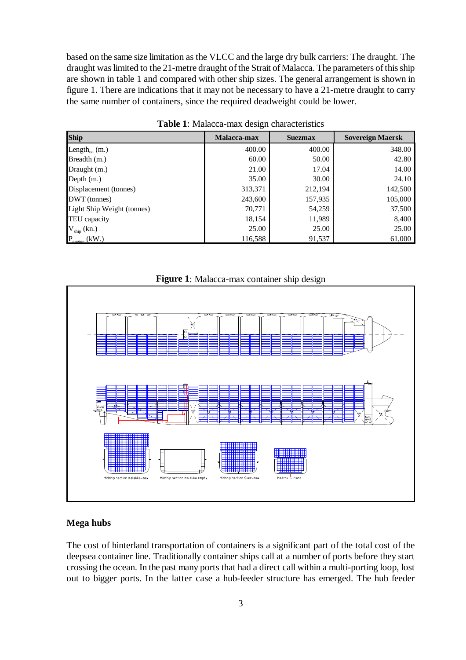based on the same size limitation as the VLCC and the large dry bulk carriers: The draught. The draught was limited to the 21-metre draught of the Strait of Malacca. The parameters of this ship are shown in table 1 and compared with other ship sizes. The general arrangement is shown in figure 1. There are indications that it may not be necessary to have a 21-metre draught to carry the same number of containers, since the required deadweight could be lower.

| <b>Ship</b>                               | Malacca-max | <b>Suezmax</b> | <b>Sovereign Maersk</b> |
|-------------------------------------------|-------------|----------------|-------------------------|
| Length <sub>oa</sub> (m.)                 | 400.00      | 400.00         | 348.00                  |
| Breadth (m.)                              | 60.00       | 50.00          | 42.80                   |
| Draught (m.)                              | 21.00       | 17.04          | 14.00                   |
| Depth $(m.)$                              | 35.00       | 30.00          | 24.10                   |
| Displacement (tonnes)                     | 313,371     | 212,194        | 142,500                 |
| DWT (tonnes)                              | 243,600     | 157,935        | 105,000                 |
| Light Ship Weight (tonnes)                | 70,771      | 54,259         | 37,500                  |
| TEU capacity                              | 18,154      | 11,989         | 8,400                   |
| $V_{\text{ship}}$ (kn.)                   | 25.00       | 25.00          | 25.00                   |
| $P_{\text{encine}}\left(\text{kW}\right)$ | 116,588     | 91,537         | 61,000                  |

**Table 1**: Malacca-max design characteristics





# **Mega hubs**

The cost of hinterland transportation of containers is a significant part of the total cost of the deepsea container line. Traditionally container ships call at a number of ports before they start crossing the ocean. In the past many ports that had a direct call within a multi-porting loop, lost out to bigger ports. In the latter case a hub-feeder structure has emerged. The hub feeder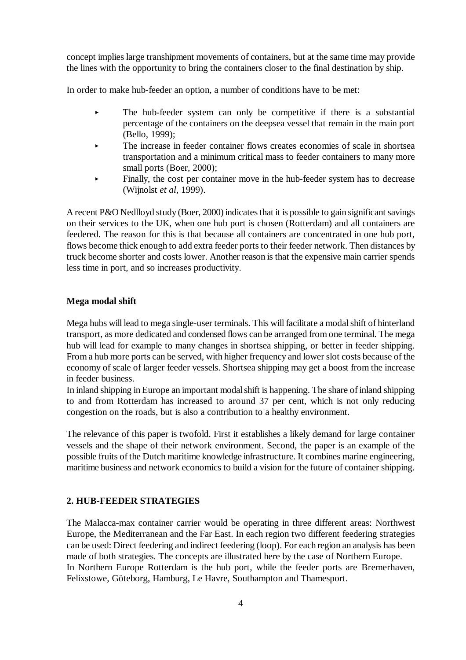concept implies large transhipment movements of containers, but at the same time may provide the lines with the opportunity to bring the containers closer to the final destination by ship.

In order to make hub-feeder an option, a number of conditions have to be met:

- $\ddot{\phantom{1}}$  The hub-feeder system can only be competitive if there is a substantial percentage of the containers on the deepsea vessel that remain in the main port (Bello, 1999);
- $\blacktriangleright$  The increase in feeder container flows creates economies of scale in shortsea transportation and a minimum critical mass to feeder containers to many more small ports (Boer, 2000);
- L Finally, the cost per container move in the hub-feeder system has to decrease (Wijnolst *et al*, 1999).

A recent P&O Nedlloyd study (Boer, 2000) indicates that it is possible to gain significant savings on their services to the UK, when one hub port is chosen (Rotterdam) and all containers are feedered. The reason for this is that because all containers are concentrated in one hub port, flows become thick enough to add extra feeder ports to their feeder network. Then distances by truck become shorter and costs lower. Another reason is that the expensive main carrier spends less time in port, and so increases productivity.

### **Mega modal shift**

Mega hubs will lead to mega single-user terminals. This will facilitate a modal shift of hinterland transport, as more dedicated and condensed flows can be arranged from one terminal. The mega hub will lead for example to many changes in shortsea shipping, or better in feeder shipping. From a hub more ports can be served, with higher frequency and lower slot costs because of the economy of scale of larger feeder vessels. Shortsea shipping may get a boost from the increase in feeder business.

In inland shipping in Europe an important modal shift is happening. The share of inland shipping to and from Rotterdam has increased to around 37 per cent, which is not only reducing congestion on the roads, but is also a contribution to a healthy environment.

The relevance of this paper is twofold. First it establishes a likely demand for large container vessels and the shape of their network environment. Second, the paper is an example of the possible fruits of the Dutch maritime knowledge infrastructure. It combines marine engineering, maritime business and network economics to build a vision for the future of container shipping.

### **2. HUB-FEEDER STRATEGIES**

The Malacca-max container carrier would be operating in three different areas: Northwest Europe, the Mediterranean and the Far East. In each region two different feedering strategies can be used: Direct feedering and indirect feedering (loop). For each region an analysis has been made of both strategies. The concepts are illustrated here by the case of Northern Europe. In Northern Europe Rotterdam is the hub port, while the feeder ports are Bremerhaven, Felixstowe, Göteborg, Hamburg, Le Havre, Southampton and Thamesport.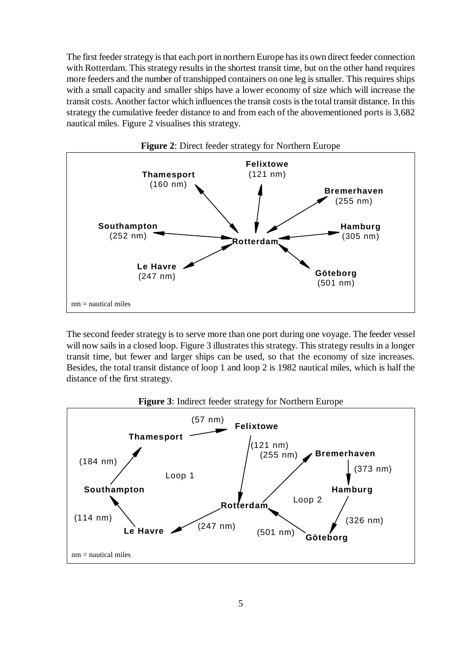The first feeder strategy is that each port in northern Europe has its own direct feeder connection with Rotterdam. This strategy results in the shortest transit time, but on the other hand requires more feeders and the number of transhipped containers on one leg is smaller. This requires ships with a small capacity and smaller ships have a lower economy of size which will increase the transit costs. Another factor which influences the transit costs is the total transit distance. In this strategy the cumulative feeder distance to and from each of the abovementioned ports is 3,682 nautical miles. Figure 2 visualises this strategy.





The second feeder strategy is to serve more than one port during one voyage. The feeder vessel will now sails in a closed loop. Figure 3 illustrates this strategy. This strategy results in a longer transit time, but fewer and larger ships can be used, so that the economy of size increases. Besides, the total transit distance of loop 1 and loop 2 is 1982 nautical miles, which is half the distance of the first strategy.

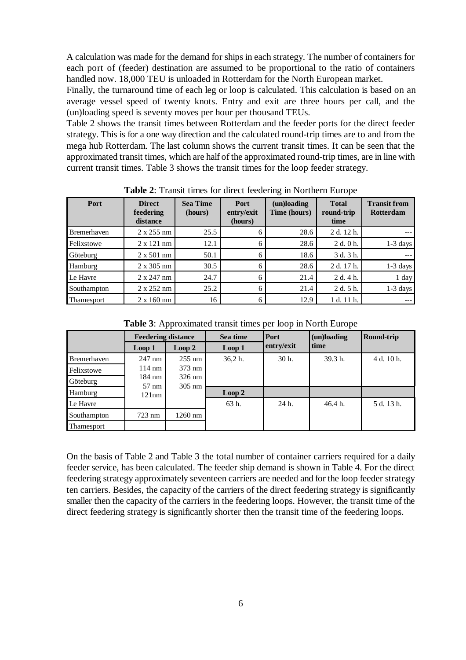A calculation was made for the demand for ships in each strategy. The number of containers for each port of (feeder) destination are assumed to be proportional to the ratio of containers handled now. 18,000 TEU is unloaded in Rotterdam for the North European market.

Finally, the turnaround time of each leg or loop is calculated. This calculation is based on an average vessel speed of twenty knots. Entry and exit are three hours per call, and the (un)loading speed is seventy moves per hour per thousand TEUs.

Table 2 shows the transit times between Rotterdam and the feeder ports for the direct feeder strategy. This is for a one way direction and the calculated round-trip times are to and from the mega hub Rotterdam. The last column shows the current transit times. It can be seen that the approximated transit times, which are half of the approximated round-trip times, are in line with current transit times. Table 3 shows the transit times for the loop feeder strategy.

| Port               | <b>Direct</b><br>feedering<br>distance | <b>Sea Time</b><br>(hours) | <b>Port</b><br>entry/exit<br>(hours) | (un)loading<br>Time (hours) | <b>Total</b><br>round-trip<br>time | <b>Transit from</b><br><b>Rotterdam</b> |
|--------------------|----------------------------------------|----------------------------|--------------------------------------|-----------------------------|------------------------------------|-----------------------------------------|
| <b>Bremerhaven</b> | $2 \times 255$ nm                      | 25.5                       | 6                                    | 28.6                        | 2 d. 12 h.                         |                                         |
| Felixstowe         | $2 \times 121$ nm                      | 12.1                       | 6                                    | 28.6                        | 2 d. 0 h.                          | $1-3 \text{ days}$                      |
| Göteburg           | $2 \times 501$ nm                      | 50.1                       | 6                                    | 18.6                        | 3 d. 3 h.                          |                                         |
| Hamburg            | $2 \times 305$ nm                      | 30.5                       | 6                                    | 28.6                        | 2 d. 17 h.                         | $1-3$ days                              |
| Le Havre           | $2 \times 247$ nm                      | 24.7                       | 6                                    | 21.4                        | 2 d. 4 h.                          | 1 day                                   |
| Southampton        | $2 \times 252$ nm                      | 25.2                       | 6                                    | 21.4                        | 2 d. 5 h.                          | $1-3$ days                              |
| <b>Thamesport</b>  | $2 \times 160$ nm                      | 16                         | 6                                    | 12.9                        | 1 d. 11 h.                         |                                         |

**Table 2**: Transit times for direct feedering in Northern Europe

**Table 3**: Approximated transit times per loop in North Europe

|                   | <b>Feedering distance</b> |                                      | Sea time | Port       | (un)loading | <b>Round-trip</b> |
|-------------------|---------------------------|--------------------------------------|----------|------------|-------------|-------------------|
|                   | Loop 1                    | Loop 2                               | Loop 1   | entry/exit | time        |                   |
| Bremerhaven       | $247 \text{ nm}$          | $255 \text{ nm}$                     | 36.2 h.  | $30h$ .    | 39.3 h.     | 4 d. 10 h.        |
| Felixstowe        | $114 \text{ nm}$          | $373 \text{ nm}$                     |          |            |             |                   |
| Göteburg          | 184 nm<br>$57 \text{ nm}$ | $326 \text{ nm}$<br>$305 \text{ nm}$ |          |            |             |                   |
| Hamburg           | 121nm                     |                                      | Loop 2   |            |             |                   |
| Le Havre          |                           |                                      | 63 h.    | 24 h.      | 46.4 h.     | 5 d. 13 h.        |
| Southampton       | $723 \text{ nm}$          | $1260$ nm                            |          |            |             |                   |
| <b>Thamesport</b> |                           |                                      |          |            |             |                   |

On the basis of Table 2 and Table 3 the total number of container carriers required for a daily feeder service, has been calculated. The feeder ship demand is shown in Table 4. For the direct feedering strategy approximately seventeen carriers are needed and for the loop feeder strategy ten carriers. Besides, the capacity of the carriers of the direct feedering strategy is significantly smaller then the capacity of the carriers in the feedering loops. However, the transit time of the direct feedering strategy is significantly shorter then the transit time of the feedering loops.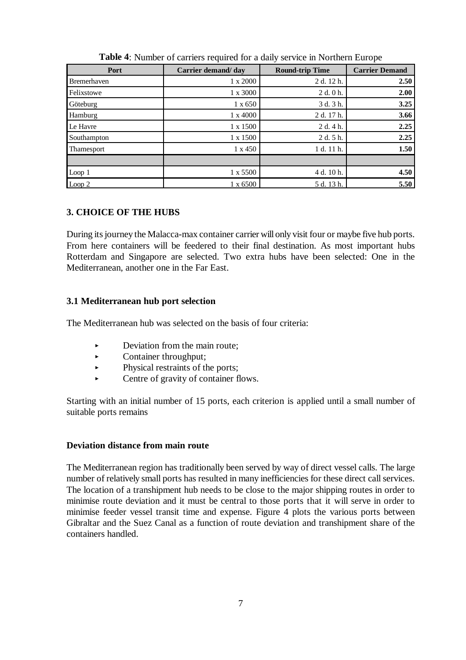| Port               | Carrier demand/day | <b>Round-trip Time</b> | <b>Carrier Demand</b> |
|--------------------|--------------------|------------------------|-----------------------|
| <b>Bremerhaven</b> | $1 \times 2000$    | 2 d. 12 h.             | 2.50                  |
| Felixstowe         | 1 x 3000           | 2 d. 0 h.              | 2.00                  |
| Göteburg           | $1 \times 650$     | 3 d. 3 h.              | 3.25                  |
| Hamburg            | $1 \times 4000$    | 2 d. 17 h.             | 3.66                  |
| Le Havre           | 1 x 1500           | 2 d. 4 h.              | 2.25                  |
| Southampton        | 1 x 1500           | 2 d. 5 h.              | 2.25                  |
| <b>Thamesport</b>  | $1 \times 450$     | 1 d. 11 h.             | 1.50                  |
|                    |                    |                        |                       |
| Loop 1             | 1 x 5500           | 4 d. 10 h.             | 4.50                  |
| Loop 2             | $1 \times 6500$    | 5 d. 13 h.             | 5.50                  |

**Table 4**: Number of carriers required for a daily service in Northern Europe

### **3. CHOICE OF THE HUBS**

During its journey the Malacca-max container carrier will only visit four or maybe five hub ports. From here containers will be feedered to their final destination. As most important hubs Rotterdam and Singapore are selected. Two extra hubs have been selected: One in the Mediterranean, another one in the Far East.

### **3.1 Mediterranean hub port selection**

The Mediterranean hub was selected on the basis of four criteria:

- i<br>L Deviation from the main route;
- $\blacktriangleright$ Container throughput;
- $\ddot{\phantom{1}}$ Physical restraints of the ports;
- $\ddot{\phantom{1}}$ Centre of gravity of container flows.

Starting with an initial number of 15 ports, each criterion is applied until a small number of suitable ports remains

### **Deviation distance from main route**

The Mediterranean region has traditionally been served by way of direct vessel calls. The large number of relatively small ports has resulted in many inefficiencies for these direct call services. The location of a transhipment hub needs to be close to the major shipping routes in order to minimise route deviation and it must be central to those ports that it will serve in order to minimise feeder vessel transit time and expense. Figure 4 plots the various ports between Gibraltar and the Suez Canal as a function of route deviation and transhipment share of the containers handled.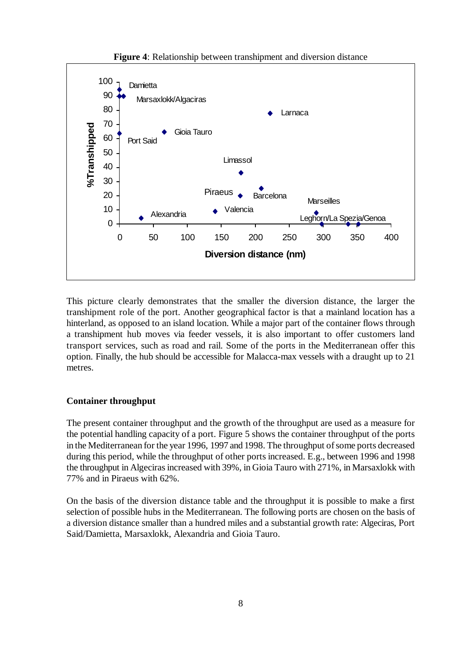

**Figure 4**: Relationship between transhipment and diversion distance

This picture clearly demonstrates that the smaller the diversion distance, the larger the transhipment role of the port. Another geographical factor is that a mainland location has a hinterland, as opposed to an island location. While a major part of the container flows through a transhipment hub moves via feeder vessels, it is also important to offer customers land transport services, such as road and rail. Some of the ports in the Mediterranean offer this option. Finally, the hub should be accessible for Malacca-max vessels with a draught up to 21 metres.

#### **Container throughput**

The present container throughput and the growth of the throughput are used as a measure for the potential handling capacity of a port. Figure 5 shows the container throughput of the ports in the Mediterranean for the year 1996, 1997 and 1998. The throughput of some ports decreased during this period, while the throughput of other ports increased. E.g., between 1996 and 1998 the throughput in Algeciras increased with 39%, in Gioia Tauro with 271%, in Marsaxlokk with 77% and in Piraeus with 62%.

On the basis of the diversion distance table and the throughput it is possible to make a first selection of possible hubs in the Mediterranean. The following ports are chosen on the basis of a diversion distance smaller than a hundred miles and a substantial growth rate: Algeciras, Port Said/Damietta, Marsaxlokk, Alexandria and Gioia Tauro.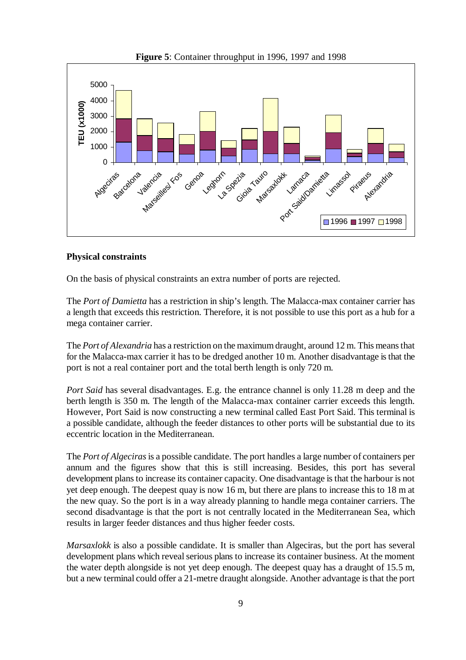

**Figure 5**: Container throughput in 1996, 1997 and 1998

#### **Physical constraints**

On the basis of physical constraints an extra number of ports are rejected.

The *Port of Damietta* has a restriction in ship's length. The Malacca-max container carrier has a length that exceeds this restriction. Therefore, it is not possible to use this port as a hub for a mega container carrier.

The *Port of Alexandria* has a restriction on the maximum draught, around 12 m. This means that for the Malacca-max carrier it has to be dredged another 10 m. Another disadvantage is that the port is not a real container port and the total berth length is only 720 m.

*Port Said* has several disadvantages. E.g. the entrance channel is only 11.28 m deep and the berth length is 350 m. The length of the Malacca-max container carrier exceeds this length. However, Port Said is now constructing a new terminal called East Port Said. This terminal is a possible candidate, although the feeder distances to other ports will be substantial due to its eccentric location in the Mediterranean.

The *Port of Algeciras* is a possible candidate. The port handles a large number of containers per annum and the figures show that this is still increasing. Besides, this port has several development plans to increase its container capacity. One disadvantage is that the harbour is not yet deep enough. The deepest quay is now 16 m, but there are plans to increase this to 18 m at the new quay. So the port is in a way already planning to handle mega container carriers. The second disadvantage is that the port is not centrally located in the Mediterranean Sea, which results in larger feeder distances and thus higher feeder costs.

*Marsaxlokk* is also a possible candidate. It is smaller than Algeciras, but the port has several development plans which reveal serious plans to increase its container business. At the moment the water depth alongside is not yet deep enough. The deepest quay has a draught of 15.5 m, but a new terminal could offer a 21-metre draught alongside. Another advantage is that the port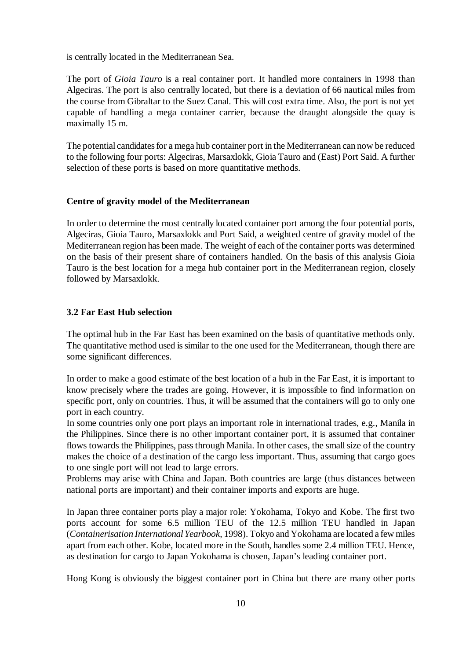is centrally located in the Mediterranean Sea.

The port of *Gioia Tauro* is a real container port. It handled more containers in 1998 than Algeciras. The port is also centrally located, but there is a deviation of 66 nautical miles from the course from Gibraltar to the Suez Canal. This will cost extra time. Also, the port is not yet capable of handling a mega container carrier, because the draught alongside the quay is maximally 15 m.

The potential candidates for a mega hub container port in the Mediterranean can now be reduced to the following four ports: Algeciras, Marsaxlokk, Gioia Tauro and (East) Port Said. A further selection of these ports is based on more quantitative methods.

#### **Centre of gravity model of the Mediterranean**

In order to determine the most centrally located container port among the four potential ports, Algeciras, Gioia Tauro, Marsaxlokk and Port Said, a weighted centre of gravity model of the Mediterranean region has been made. The weight of each of the container ports was determined on the basis of their present share of containers handled. On the basis of this analysis Gioia Tauro is the best location for a mega hub container port in the Mediterranean region, closely followed by Marsaxlokk.

### **3.2 Far East Hub selection**

The optimal hub in the Far East has been examined on the basis of quantitative methods only. The quantitative method used is similar to the one used for the Mediterranean, though there are some significant differences.

In order to make a good estimate of the best location of a hub in the Far East, it is important to know precisely where the trades are going. However, it is impossible to find information on specific port, only on countries. Thus, it will be assumed that the containers will go to only one port in each country.

In some countries only one port plays an important role in international trades, e.g., Manila in the Philippines. Since there is no other important container port, it is assumed that container flows towards the Philippines, pass through Manila. In other cases, the small size of the country makes the choice of a destination of the cargo less important. Thus, assuming that cargo goes to one single port will not lead to large errors.

Problems may arise with China and Japan. Both countries are large (thus distances between national ports are important) and their container imports and exports are huge.

In Japan three container ports play a major role: Yokohama, Tokyo and Kobe. The first two ports account for some 6.5 million TEU of the 12.5 million TEU handled in Japan (*Containerisation International Yearbook*, 1998). Tokyo and Yokohama are located a few miles apart from each other. Kobe, located more in the South, handles some 2.4 million TEU. Hence, as destination for cargo to Japan Yokohama is chosen, Japan's leading container port.

Hong Kong is obviously the biggest container port in China but there are many other ports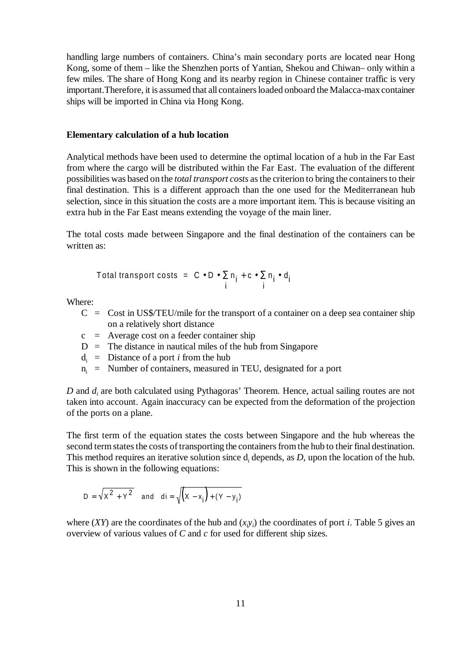handling large numbers of containers. China's main secondary ports are located near Hong Kong, some of them – like the Shenzhen ports of Yantian, Shekou and Chiwan– only within a few miles. The share of Hong Kong and its nearby region in Chinese container traffic is very important.Therefore, it is assumed that all containers loaded onboard the Malacca-max container ships will be imported in China via Hong Kong.

#### **Elementary calculation of a hub location**

Analytical methods have been used to determine the optimal location of a hub in the Far East from where the cargo will be distributed within the Far East. The evaluation of the different possibilities was based on the *total transport costs* as the criterion to bring the containers to their final destination. This is a different approach than the one used for the Mediterranean hub selection, since in this situation the costs are a more important item. This is because visiting an extra hub in the Far East means extending the voyage of the main liner.

The total costs made between Singapore and the final destination of the containers can be written as:

Total transport costs = 
$$
C \cdot D \cdot \sum_{i} n_i + c \cdot \sum_{i} n_i \cdot d_i
$$

Where:

- $C = \text{Cost in US$/TEU/mile}$  for the transport of a container on a deep sea container ship on a relatively short distance
- $c =$  Average cost on a feeder container ship
- $D =$ The distance in nautical miles of the hub from Singapore
- $d_i$  = Distance of a port *i* from the hub
- $n_i$  = Number of containers, measured in TEU, designated for a port

*D* and  $d_i$  are both calculated using Pythagoras' Theorem. Hence, actual sailing routes are not taken into account. Again inaccuracy can be expected from the deformation of the projection of the ports on a plane.

The first term of the equation states the costs between Singapore and the hub whereas the second term states the costs of transporting the containers from the hub to their final destination. This method requires an iterative solution since  $d_i$  depends, as  $D$ , upon the location of the hub. This is shown in the following equations:

$$
D = \sqrt{x^2 + y^2} \quad \text{and} \quad di = \sqrt{(x - x_i) + (Y - y_i)}
$$

where  $(XY)$  are the coordinates of the hub and  $(x_i y_i)$  the coordinates of port *i*. Table 5 gives an overview of various values of *C* and *c* for used for different ship sizes.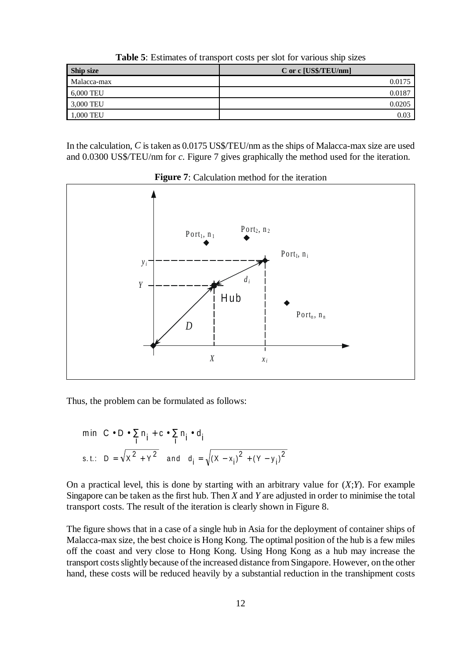**Ship size** C or c  $\overline{[US$/TEU/mm]}$ Malacca-max 0.0175 6,000 TEU 0.0187 3,000 TEU 0.0205 1,000 TEU 0.03

**Table 5**: Estimates of transport costs per slot for various ship sizes

In the calculation, *C* is taken as 0.0175 US\$/TEU/nm as the ships of Malacca-max size are used and 0.0300 US\$/TEU/nm for *c*. Figure 7 gives graphically the method used for the iteration.



**Figure 7**: Calculation method for the iteration

Thus, the problem can be formulated as follows:

$$
\min\left\{C \bullet D \bullet \sum_{i} n_{i} + c \bullet \sum_{i} n_{i} \bullet d_{i}\right\}
$$
  
s.t.: 
$$
D = \sqrt{x^{2} + Y^{2}} \text{ and } d_{i} = \sqrt{(X - x_{i})^{2} + (Y - y_{i})^{2}}
$$

On a practical level, this is done by starting with an arbitrary value for (*X*;*Y*). For example Singapore can be taken as the first hub. Then *X* and *Y* are adjusted in order to minimise the total transport costs. The result of the iteration is clearly shown in Figure 8.

The figure shows that in a case of a single hub in Asia for the deployment of container ships of Malacca-max size, the best choice is Hong Kong. The optimal position of the hub is a few miles off the coast and very close to Hong Kong. Using Hong Kong as a hub may increase the transport costs slightly because of the increased distance from Singapore. However, on the other hand, these costs will be reduced heavily by a substantial reduction in the transhipment costs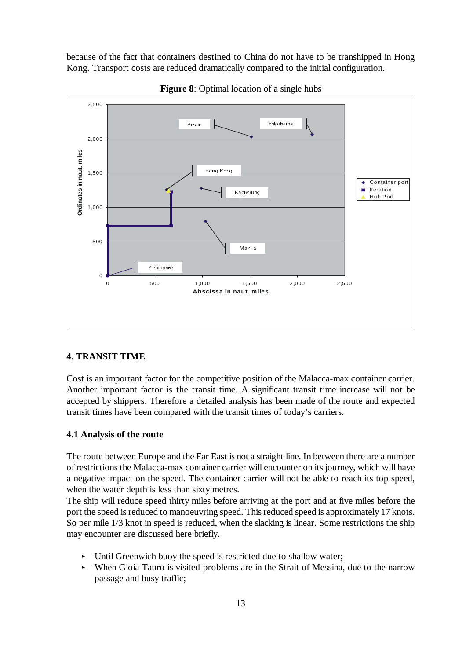because of the fact that containers destined to China do not have to be transhipped in Hong Kong. Transport costs are reduced dramatically compared to the initial configuration.



**Figure 8**: Optimal location of a single hubs

### **4. TRANSIT TIME**

Cost is an important factor for the competitive position of the Malacca-max container carrier. Another important factor is the transit time. A significant transit time increase will not be accepted by shippers. Therefore a detailed analysis has been made of the route and expected transit times have been compared with the transit times of today's carriers.

#### **4.1 Analysis of the route**

The route between Europe and the Far East is not a straight line. In between there are a number of restrictions the Malacca-max container carrier will encounter on its journey, which will have a negative impact on the speed. The container carrier will not be able to reach its top speed, when the water depth is less than sixty metres.

The ship will reduce speed thirty miles before arriving at the port and at five miles before the port the speed is reduced to manoeuvring speed. This reduced speed is approximately 17 knots. So per mile 1/3 knot in speed is reduced, when the slacking is linear. Some restrictions the ship may encounter are discussed here briefly.

- Until Greenwich buoy the speed is restricted due to shallow water;
- When Gioia Tauro is visited problems are in the Strait of Messina, due to the narrow passage and busy traffic;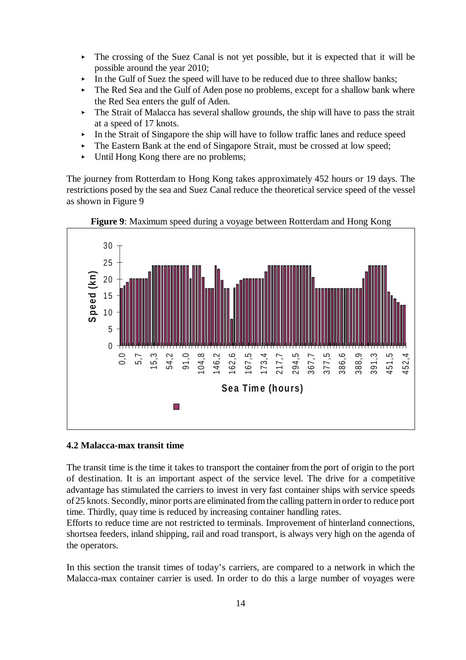- The crossing of the Suez Canal is not yet possible, but it is expected that it will be possible around the year 2010;
- In the Gulf of Suez the speed will have to be reduced due to three shallow banks;
- The Red Sea and the Gulf of Aden pose no problems, except for a shallow bank where the Red Sea enters the gulf of Aden.
- ► The Strait of Malacca has several shallow grounds, the ship will have to pass the strait at a speed of 17 knots.
- In the Strait of Singapore the ship will have to follow traffic lanes and reduce speed<br>
The Extern Dark tide and of Singapore Strait worth a ground of large speed
- The Eastern Bank at the end of Singapore Strait, must be crossed at low speed;
- Inc. Eastern Bank at the end of Singaport Until Hong Kong there are no problems;

The journey from Rotterdam to Hong Kong takes approximately 452 hours or 19 days. The restrictions posed by the sea and Suez Canal reduce the theoretical service speed of the vessel as shown in Figure 9



**Figure 9**: Maximum speed during a voyage between Rotterdam and Hong Kong

### **4.2 Malacca-max transit time**

The transit time is the time it takes to transport the container from the port of origin to the port of destination. It is an important aspect of the service level. The drive for a competitive advantage has stimulated the carriers to invest in very fast container ships with service speeds of 25 knots. Secondly, minor ports are eliminated from the calling pattern in order to reduce port time. Thirdly, quay time is reduced by increasing container handling rates.

Efforts to reduce time are not restricted to terminals. Improvement of hinterland connections, shortsea feeders, inland shipping, rail and road transport, is always very high on the agenda of the operators.

In this section the transit times of today's carriers, are compared to a network in which the Malacca-max container carrier is used. In order to do this a large number of voyages were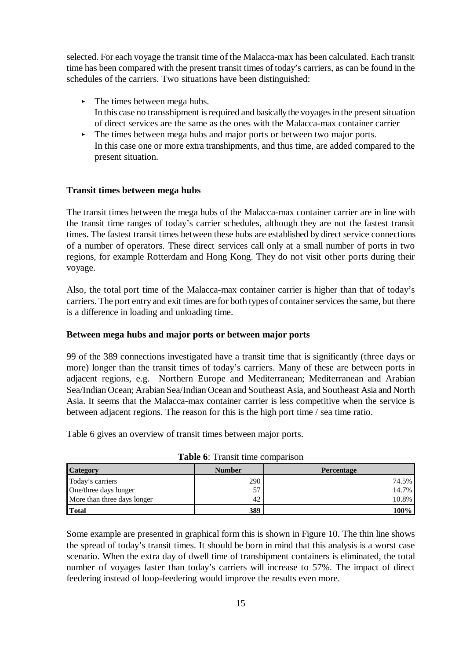selected. For each voyage the transit time of the Malacca-max has been calculated. Each transit time has been compared with the present transit times of today's carriers, as can be found in the schedules of the carriers. Two situations have been distinguished:

- The times between mega hubs. In this case no transshipment is required and basically the voyages in the present situation of direct services are the same as the ones with the Malacca-max container carrier
- The times between mega hubs and major ports or between two major ports. In this case one or more extra transhipments, and thus time, are added compared to the present situation.

### **Transit times between mega hubs**

The transit times between the mega hubs of the Malacca-max container carrier are in line with the transit time ranges of today's carrier schedules, although they are not the fastest transit times. The fastest transit times between these hubs are established by direct service connections of a number of operators. These direct services call only at a small number of ports in two regions, for example Rotterdam and Hong Kong. They do not visit other ports during their voyage.

Also, the total port time of the Malacca-max container carrier is higher than that of today's carriers. The port entry and exit times are for both types of container services the same, but there is a difference in loading and unloading time.

#### **Between mega hubs and major ports or between major ports**

99 of the 389 connections investigated have a transit time that is significantly (three days or more) longer than the transit times of today's carriers. Many of these are between ports in adjacent regions, e.g. Northern Europe and Mediterranean; Mediterranean and Arabian Sea/Indian Ocean; Arabian Sea/Indian Ocean and Southeast Asia, and Southeast Asia and North Asia. It seems that the Malacca-max container carrier is less competitive when the service is between adjacent regions. The reason for this is the high port time / sea time ratio.

Table 6 gives an overview of transit times between major ports.

| <b>Category</b>             | <b>Number</b> | <b>Percentage</b> |
|-----------------------------|---------------|-------------------|
| Today's carriers            | 290           | 74.5%             |
| One/three days longer       | 57<br>◡       | 14.7%             |
| More than three days longer | 42            | 10.8%             |
| <b>Total</b>                | 389           | .00%              |

**Table 6**: Transit time comparison

Some example are presented in graphical form this is shown in Figure 10. The thin line shows the spread of today's transit times. It should be born in mind that this analysis is a worst case scenario. When the extra day of dwell time of transhipment containers is eliminated, the total number of voyages faster than today's carriers will increase to 57%. The impact of direct feedering instead of loop-feedering would improve the results even more.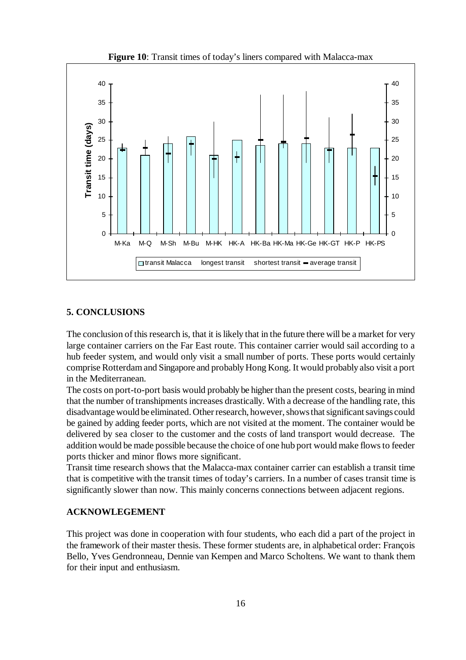

#### **5. CONCLUSIONS**

The conclusion of this research is, that it is likely that in the future there will be a market for very large container carriers on the Far East route. This container carrier would sail according to a hub feeder system, and would only visit a small number of ports. These ports would certainly comprise Rotterdam and Singapore and probably Hong Kong. It would probably also visit a port in the Mediterranean.

The costs on port-to-port basis would probably be higher than the present costs, bearing in mind that the number of transhipments increases drastically. With a decrease of the handling rate, this disadvantage would be eliminated. Other research, however, shows that significant savings could be gained by adding feeder ports, which are not visited at the moment. The container would be delivered by sea closer to the customer and the costs of land transport would decrease. The addition would be made possible because the choice of one hub port would make flows to feeder ports thicker and minor flows more significant.

Transit time research shows that the Malacca-max container carrier can establish a transit time that is competitive with the transit times of today's carriers. In a number of cases transit time is significantly slower than now. This mainly concerns connections between adjacent regions.

### **ACKNOWLEGEMENT**

This project was done in cooperation with four students, who each did a part of the project in the framework of their master thesis. These former students are, in alphabetical order: François Bello, Yves Gendronneau, Dennie van Kempen and Marco Scholtens. We want to thank them for their input and enthusiasm.